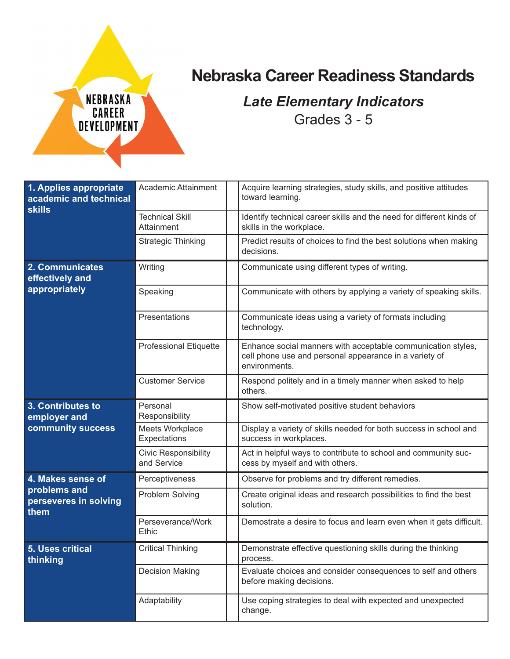

## **Nebraska Career Readiness Standards**

## *Late Elementary Indicators* Grades 3 - 5

| 1. Applies appropriate<br>academic and technical<br><b>skills</b> | Academic Attainment                        | Acquire learning strategies, study skills, and positive attitudes<br>toward learning.                                                   |
|-------------------------------------------------------------------|--------------------------------------------|-----------------------------------------------------------------------------------------------------------------------------------------|
|                                                                   | <b>Technical Skill</b><br>Attainment       | Identify technical career skills and the need for different kinds of<br>skills in the workplace.                                        |
|                                                                   | <b>Strategic Thinking</b>                  | Predict results of choices to find the best solutions when making<br>decisions.                                                         |
| 2. Communicates<br>effectively and<br>appropriately               | Writing                                    | Communicate using different types of writing.                                                                                           |
|                                                                   | Speaking                                   | Communicate with others by applying a variety of speaking skills.                                                                       |
|                                                                   | Presentations                              | Communicate ideas using a variety of formats including<br>technology.                                                                   |
|                                                                   | <b>Professional Etiquette</b>              | Enhance social manners with acceptable communication styles,<br>cell phone use and personal appearance in a variety of<br>environments. |
|                                                                   | <b>Customer Service</b>                    | Respond politely and in a timely manner when asked to help<br>others.                                                                   |
| 3. Contributes to                                                 |                                            |                                                                                                                                         |
|                                                                   | Personal<br>Responsibility                 | Show self-motivated positive student behaviors                                                                                          |
| employer and<br>community success                                 | Meets Workplace<br>Expectations            | Display a variety of skills needed for both success in school and<br>success in workplaces.                                             |
|                                                                   | <b>Civic Responsibility</b><br>and Service | Act in helpful ways to contribute to school and community suc-<br>cess by myself and with others.                                       |
| 4. Makes sense of                                                 | Perceptiveness                             | Observe for problems and try different remedies.                                                                                        |
| problems and<br>perseveres in solving                             | Problem Solving                            | Create original ideas and research possibilities to find the best<br>solution.                                                          |
| them                                                              | Perseverance/Work<br>Ethic                 | Demostrate a desire to focus and learn even when it gets difficult.                                                                     |
| 5. Uses critical<br>thinking                                      | <b>Critical Thinking</b>                   | Demonstrate effective questioning skills during the thinking<br>process.                                                                |
|                                                                   | <b>Decision Making</b>                     | Evaluate choices and consider consequences to self and others<br>before making decisions.                                               |